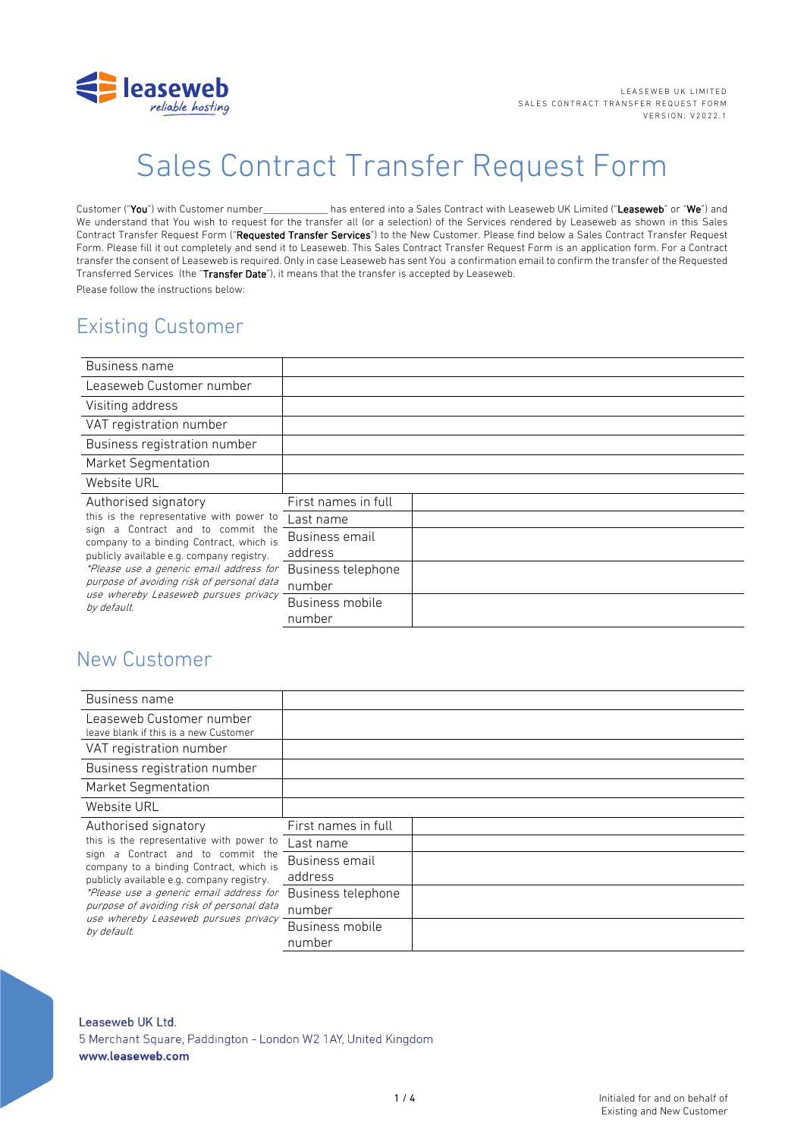

# Sales Contract Transfer Request Form

Customer ("You") with Customer number has entered into a Sales Contract with Leaseweb UK Limited ("Leaseweb" or "We") and We understand that You wish to request for the transfer all (or a selection) of the Services rendered by Leaseweb as shown in this Sales Contract Transfer Request Form ("Requested Transfer Services") to the New Customer. Please find below a Sales Contract Transfer Request Form. Please fill it out completely and send it to Leaseweb. This Sales Contract Transfer Request Form is an application form. For a Contract transfer the consent of Leaseweb is required. Only in case Leaseweb has sent You a confirmation email to confirm the transfer of the Requested Transferred Services (the "Transfer Date"), it means that the transfer is accepted by Leaseweb. Please follow the instructions below:

### Existing Customer

| Business name                                                                                                                                                                                                                                                            |                     |  |
|--------------------------------------------------------------------------------------------------------------------------------------------------------------------------------------------------------------------------------------------------------------------------|---------------------|--|
| Leaseweb Customer number                                                                                                                                                                                                                                                 |                     |  |
| Visiting address                                                                                                                                                                                                                                                         |                     |  |
| VAT registration number                                                                                                                                                                                                                                                  |                     |  |
| Business registration number                                                                                                                                                                                                                                             |                     |  |
| Market Segmentation                                                                                                                                                                                                                                                      |                     |  |
| Website URL                                                                                                                                                                                                                                                              |                     |  |
| Authorised signatory                                                                                                                                                                                                                                                     | First names in full |  |
| this is the representative with power to                                                                                                                                                                                                                                 | Last name           |  |
| sign a Contract and to commit the<br>company to a binding Contract, which is<br>publicly available e.g. company registry.<br>*Please use a generic email address for<br>purpose of avoiding risk of personal data<br>use whereby Leaseweb pursues privacy<br>by default. | Business email      |  |
|                                                                                                                                                                                                                                                                          | address             |  |
|                                                                                                                                                                                                                                                                          | Business telephone  |  |
|                                                                                                                                                                                                                                                                          | number              |  |
|                                                                                                                                                                                                                                                                          | Business mobile     |  |
|                                                                                                                                                                                                                                                                          | number              |  |

### New Customer

| Business name                                                                                                                                                                                                                                                                                                                                |                              |  |
|----------------------------------------------------------------------------------------------------------------------------------------------------------------------------------------------------------------------------------------------------------------------------------------------------------------------------------------------|------------------------------|--|
| Leaseweb Customer number<br>leave blank if this is a new Customer                                                                                                                                                                                                                                                                            |                              |  |
| VAT registration number                                                                                                                                                                                                                                                                                                                      |                              |  |
| Business registration number                                                                                                                                                                                                                                                                                                                 |                              |  |
| Market Segmentation                                                                                                                                                                                                                                                                                                                          |                              |  |
| Website URL                                                                                                                                                                                                                                                                                                                                  |                              |  |
| Authorised signatory<br>this is the representative with power to<br>sign a Contract and to commit the<br>company to a binding Contract, which is<br>publicly available e.g. company registry.<br>*Please use a generic email address for<br>purpose of avoiding risk of personal data<br>use whereby Leaseweb pursues privacy<br>by default. | First names in full          |  |
|                                                                                                                                                                                                                                                                                                                                              | Last name                    |  |
|                                                                                                                                                                                                                                                                                                                                              | Business email<br>address    |  |
|                                                                                                                                                                                                                                                                                                                                              | Business telephone<br>number |  |
|                                                                                                                                                                                                                                                                                                                                              | Business mobile<br>number    |  |

#### Leaseweb UK Ltd. 5 Merchant Square, Paddington - London W2 1AY, United Kingdom www.leaseweb.com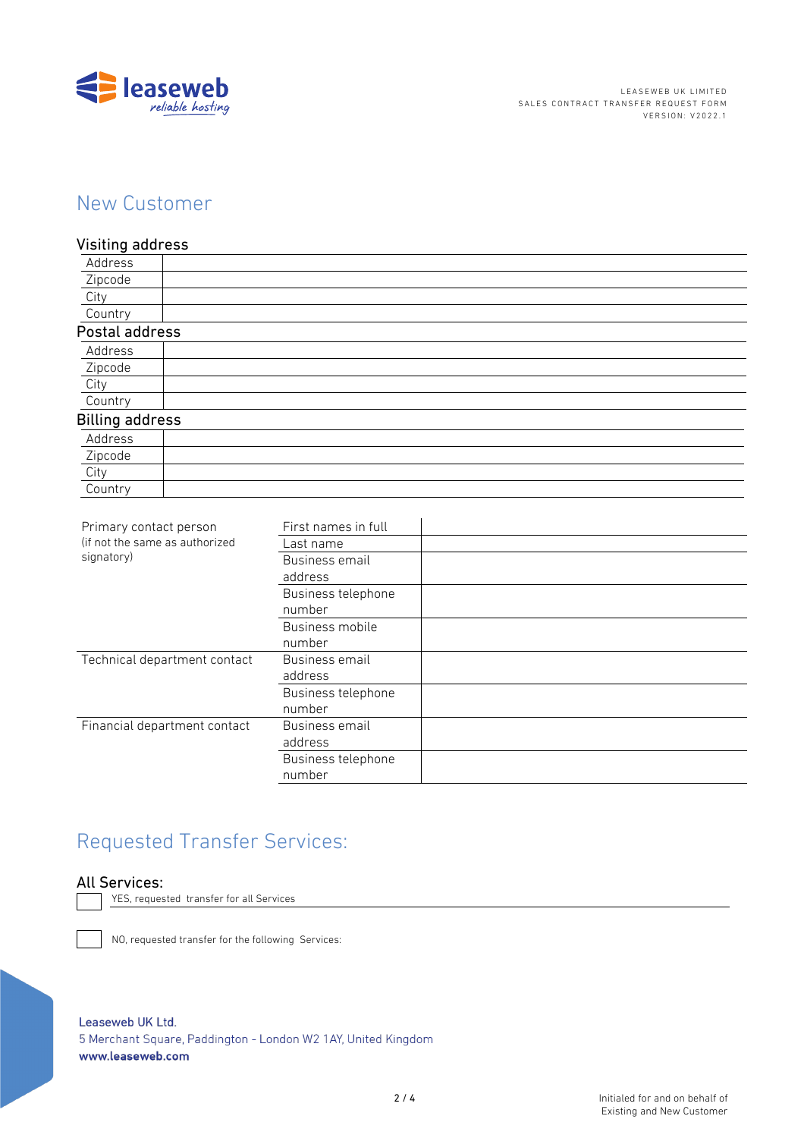

### New Customer

#### Visiting address

| Address                |  |
|------------------------|--|
| Zipcode                |  |
| City                   |  |
| Country                |  |
| Postal address         |  |
| Address                |  |
| Zipcode                |  |
| City                   |  |
| Country                |  |
| <b>Billing address</b> |  |
| Address                |  |
| Zipcode                |  |
| City                   |  |
| Country                |  |

| Primary contact person<br>(if not the same as authorized<br>signatory) | First names in full |  |
|------------------------------------------------------------------------|---------------------|--|
|                                                                        | Last name           |  |
|                                                                        | Business email      |  |
|                                                                        | address             |  |
|                                                                        | Business telephone  |  |
|                                                                        | number              |  |
|                                                                        | Business mobile     |  |
|                                                                        | number              |  |
| Technical department contact                                           | Business email      |  |
|                                                                        | address             |  |
|                                                                        | Business telephone  |  |
|                                                                        | number              |  |
| Financial department contact                                           | Business email      |  |
|                                                                        | address             |  |
|                                                                        | Business telephone  |  |
|                                                                        | number              |  |
|                                                                        |                     |  |

## Requested Transfer Services:

#### All Services:

YES, requested transfer for all Services

NO, requested transfer for the following Services:

```
Leaseweb UK Ltd.
```
5 Merchant Square, Paddington - London W2 1AY, United Kingdom www.leaseweb.com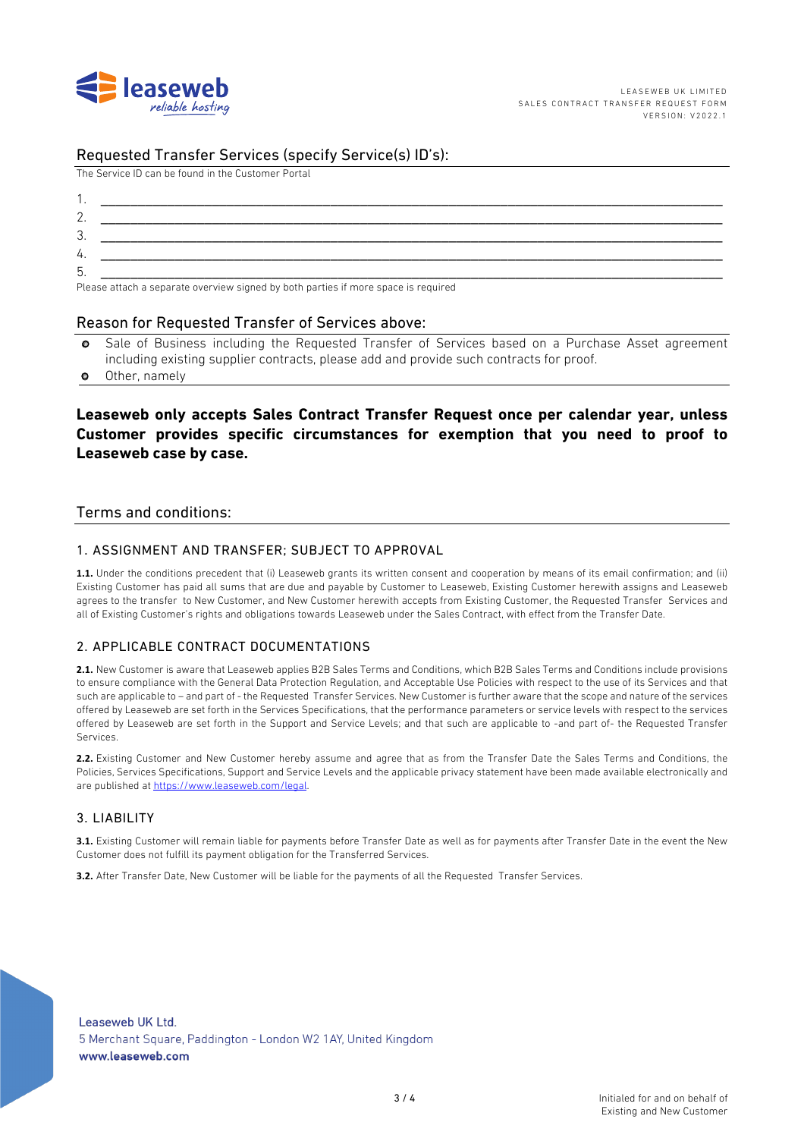

#### Requested Transfer Services (specify Service(s) ID's):

The Service ID can be found in the Customer Portal

| . ب      |                                                                                                                                                                                                                                   |
|----------|-----------------------------------------------------------------------------------------------------------------------------------------------------------------------------------------------------------------------------------|
| 4.       |                                                                                                                                                                                                                                   |
| h<br>. ب |                                                                                                                                                                                                                                   |
| $\sim$   | $\mathbf{r}$ , and the contract of the contract of the contract of the contract of the contract of the contract of the contract of the contract of the contract of the contract of the contract of the contract of the contract o |

Please attach a separate overview signed by both parties if more space is required

#### Reason for Requested Transfer of Services above:

- o Sale of Business including the Requested Transfer of Services based on a Purchase Asset agreement including existing supplier contracts, please add and provide such contracts for proof.
- o Other, namely

#### **Leaseweb only accepts Sales Contract Transfer Request once per calendar year, unless Customer provides specific circumstances for exemption that you need to proof to Leaseweb case by case.**

#### Terms and conditions:

#### 1. ASSIGNMENT AND TRANSFER; SUBJECT TO APPROVAL

**1.1.** Under the conditions precedent that (i) Leaseweb grants its written consent and cooperation by means of its email confirmation; and (ii) Existing Customer has paid all sums that are due and payable by Customer to Leaseweb, Existing Customer herewith assigns and Leaseweb agrees to the transfer to New Customer, and New Customer herewith accepts from Existing Customer, the Requested Transfer Services and all of Existing Customer's rights and obligations towards Leaseweb under the Sales Contract, with effect from the Transfer Date.

#### 2. APPLICABLE CONTRACT DOCUMENTATIONS

**2.1.** New Customer is aware that Leaseweb applies B2B Sales Terms and Conditions, which B2B Sales Terms and Conditions include provisions to ensure compliance with the General Data Protection Regulation, and Acceptable Use Policies with respect to the use of its Services and that such are applicable to – and part of - the Requested Transfer Services. New Customer is further aware that the scope and nature of the services offered by Leaseweb are set forth in the Services Specifications, that the performance parameters or service levels with respect to the services offered by Leaseweb are set forth in the Support and Service Levels; and that such are applicable to -and part of- the Requested Transfer Services.

**2.2.** Existing Customer and New Customer hereby assume and agree that as from the Transfer Date the Sales Terms and Conditions, the Policies, Services Specifications, Support and Service Levels and the applicable privacy statement have been made available electronically and are published at https://www.leaseweb.com/legal.

#### 3. LIABILITY

**3.1.** Existing Customer will remain liable for payments before Transfer Date as well as for payments after Transfer Date in the event the New Customer does not fulfill its payment obligation for the Transferred Services.

**3.2.** After Transfer Date, New Customer will be liable for the payments of all the Requested Transfer Services.